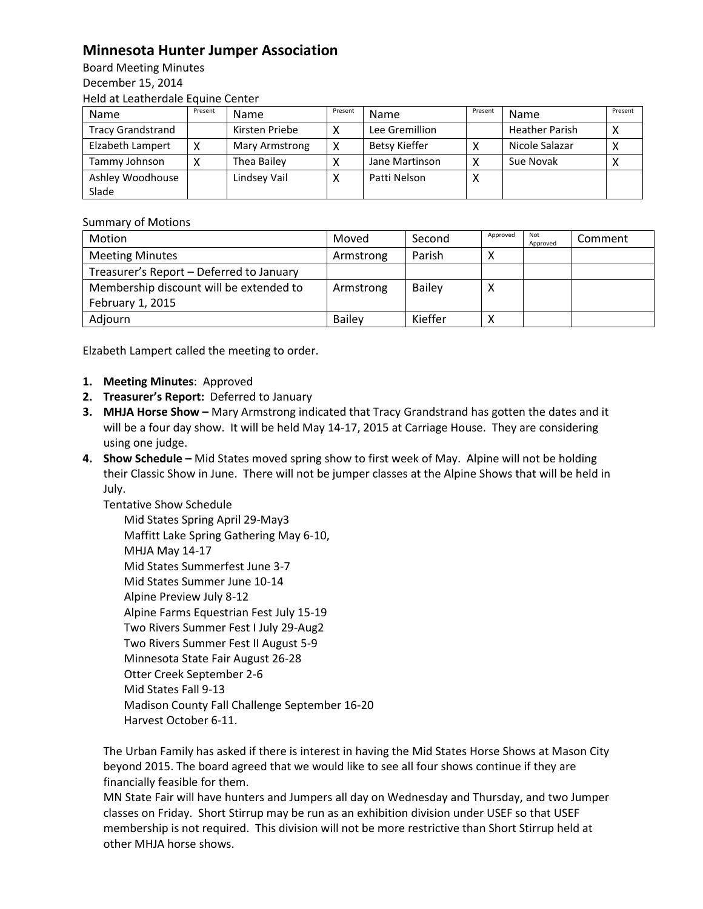## **Minnesota Hunter Jumper Association**

Board Meeting Minutes December 15, 2014 Held at Leatherdale Equine Center

| Name                     | Present | <b>Name</b>    | Present      | <b>Name</b>          | Present      | Name                  | Present |
|--------------------------|---------|----------------|--------------|----------------------|--------------|-----------------------|---------|
| <b>Tracy Grandstrand</b> |         | Kirsten Priebe |              | Lee Gremillion       |              | <b>Heather Parish</b> |         |
| Elzabeth Lampert         |         | Mary Armstrong | Χ            | <b>Betsy Kieffer</b> |              | Nicole Salazar        |         |
| Tammy Johnson            |         | Thea Bailey    |              | Jane Martinson       | $\checkmark$ | Sue Novak             |         |
| Ashley Woodhouse         |         | Lindsey Vail   | $\checkmark$ | Patti Nelson         | ↗            |                       |         |
| Slade                    |         |                |              |                      |              |                       |         |

## Summary of Motions

| Motion                                   | Moved         | Second        | Approved | Not<br>Approved | Comment |
|------------------------------------------|---------------|---------------|----------|-----------------|---------|
| <b>Meeting Minutes</b>                   | Armstrong     | Parish        |          |                 |         |
| Treasurer's Report - Deferred to January |               |               |          |                 |         |
| Membership discount will be extended to  | Armstrong     | <b>Bailey</b> |          |                 |         |
| February 1, 2015                         |               |               |          |                 |         |
| Adjourn                                  | <b>Bailey</b> | Kieffer       |          |                 |         |

Elzabeth Lampert called the meeting to order.

- **1. Meeting Minutes**: Approved
- **2. Treasurer's Report:** Deferred to January
- **3. MHJA Horse Show –** Mary Armstrong indicated that Tracy Grandstrand has gotten the dates and it will be a four day show. It will be held May 14-17, 2015 at Carriage House. They are considering using one judge.
- **4. Show Schedule –** Mid States moved spring show to first week of May. Alpine will not be holding their Classic Show in June. There will not be jumper classes at the Alpine Shows that will be held in July.

Tentative Show Schedule

Mid States Spring April 29-May3 Maffitt Lake Spring Gathering May 6-10, MHJA May 14-17 Mid States Summerfest June 3-7 Mid States Summer June 10-14 Alpine Preview July 8-12 Alpine Farms Equestrian Fest July 15-19 Two Rivers Summer Fest I July 29-Aug2 Two Rivers Summer Fest II August 5-9 Minnesota State Fair August 26-28 Otter Creek September 2-6 Mid States Fall 9-13 Madison County Fall Challenge September 16-20 Harvest October 6-11.

The Urban Family has asked if there is interest in having the Mid States Horse Shows at Mason City beyond 2015. The board agreed that we would like to see all four shows continue if they are financially feasible for them.

MN State Fair will have hunters and Jumpers all day on Wednesday and Thursday, and two Jumper classes on Friday. Short Stirrup may be run as an exhibition division under USEF so that USEF membership is not required. This division will not be more restrictive than Short Stirrup held at other MHJA horse shows.